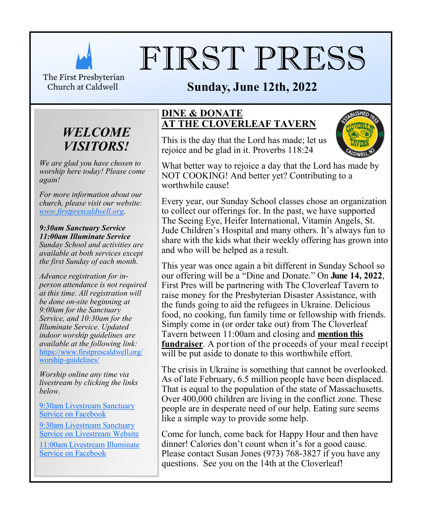

# FIRST PRESS

The First Presbyterian Church at Caldwell

# **Sunday, June 12th, 2022<br>
<u>& DONATE</u>**



*We are glad you have chosen to worship here today! Please come again!*

*For more information about our church, please visit our website: [www.firstprescaldwell.org.](http://www.firstprescaldwell.org)* 

*9:30am Sanctuary Service 11:00am Illuminate Service Sunday School and activities are available at both services except the first Sunday of each month.* 

*Advance registration for inperson attendance is not required at this time. All registration will be done on-site beginning at 9:00am for the Sanctuary Service, and 10:30am for the Illuminate Service. Updated indoor worship guidelines are available at the following link:* [https://www.firstprescaldwell.org/](https://www.firstprescaldwell.org/worship-guidelines/) [worship-guidelines/](https://www.firstprescaldwell.org/worship-guidelines/)

*Worship online any time via livestream by clicking the links below.* 

[9:30am Livestream Sanctuary](https://www.facebook.com/firstprescaldwell/)  [Service on Facebook](https://www.facebook.com/firstprescaldwell/)

[9:30am Livestream Sanctuary](https://livestream.com/accounts/21941295)  [Service on Livestream Website](https://livestream.com/accounts/21941295)

[11:00am Livestream Illuminate](https://www.facebook.com/illuminateNJ/)  [Service on Facebook](https://www.facebook.com/illuminateNJ/)

#### **DINE & DONATE AT THE CLOVERLEAF TAVERN**

This is the day that the Lord has made; let us rejoice and be glad in it. Proverbs 118:24



What better way to rejoice a day that the Lord has made by NOT COOKING! And better yet? Contributing to a worthwhile cause!

Every year, our Sunday School classes chose an organization to collect our offerings for. In the past, we have supported The Seeing Eye, Heifer International, Vitamin Angels, St. Jude Children's Hospital and many others. It's always fun to share with the kids what their weekly offering has grown into and who will be helped as a result.

This year was once again a bit different in Sunday School so our offering will be a "Dine and Donate." On **June 14, 2022**, First Pres will be partnering with The Cloverleaf Tavern to raise money for the Presbyterian Disaster Assistance, with the funds going to aid the refugees in Ukraine. Delicious food, no cooking, fun family time or fellowship with friends. Simply come in (or order take out) from The Cloverleaf Tavern between 11:00am and closing and **mention this fundraiser**. A portion of the proceeds of your meal receipt will be put aside to donate to this worthwhile effort.

The crisis in Ukraine is something that cannot be overlooked. As of late February, 6.5 million people have been displaced. That is equal to the population of the state of Massachusetts. Over 400,000 children are living in the conflict zone. These people are in desperate need of our help. Eating sure seems like a simple way to provide some help.

Come for lunch, come back for Happy Hour and then have dinner! Calories don't count when it's for a good cause. Please contact Susan Jones (973) 768-3827 if you have any questions. See you on the 14th at the Cloverleaf!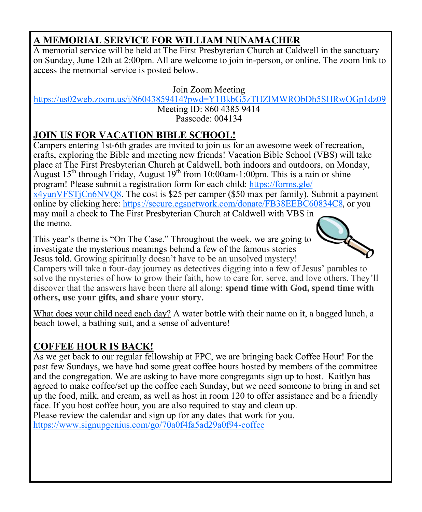# **A MEMORIAL SERVICE FOR WILLIAM NUNAMACHER**

A memorial service will be held at The First Presbyterian Church at Caldwell in the sanctuary on Sunday, June 12th at 2:00pm. All are welcome to join in-person, or online. The zoom link to access the memorial service is posted below.

Join Zoom Meeting

<https://us02web.zoom.us/j/86043859414?pwd=Y1BkbG5zTHZlMWRObDh5SHRwOGp1dz09>

Meeting ID: 860 4385 9414 Passcode: 004134

# **JOIN US FOR VACATION BIBLE SCHOOL!**

Campers entering 1st-6th grades are invited to join us for an awesome week of recreation, crafts, exploring the Bible and meeting new friends! Vacation Bible School (VBS) will take place at The First Presbyterian Church at Caldwell, both indoors and outdoors, on Monday, August 15<sup>th</sup> through Friday, August 19<sup>th</sup> from 10:00am-1:00pm. This is a rain or shine program! Please submit a registration form for each child: [https://forms.gle/](https://forms.gle/x4yunVFSTjCn6NVQ8) [x4yunVFSTjCn6NVQ8.](https://forms.gle/x4yunVFSTjCn6NVQ8) The cost is \$25 per camper (\$50 max per family). Submit a payment online by clicking here: [https://secure.egsnetwork.com/donate/FB38EEBC60834C8,](https://secure.egsnetwork.com/donate/FB38EEBC60834C8) or you may mail a check to The First Presbyterian Church at Caldwell with VBS in the memo.

This year's theme is "On The Case." Throughout the week, we are going to investigate the mysterious meanings behind a few of the famous stories Jesus told. Growing spiritually doesn't have to be an unsolved mystery!



Campers will take a four-day journey as detectives digging into a few of Jesus' parables to solve the mysteries of how to grow their faith, how to care for, serve, and love others. They'll discover that the answers have been there all along: **spend time with God, spend time with others, use your gifts, and share your story.**

What does your child need each day? A water bottle with their name on it, a bagged lunch, a beach towel, a bathing suit, and a sense of adventure!

# **COFFEE HOUR IS BACK!**

As we get back to our regular fellowship at FPC, we are bringing back Coffee Hour! For the past few Sundays, we have had some great coffee hours hosted by members of the committee and the congregation. We are asking to have more congregants sign up to host. Kaitlyn has agreed to make coffee/set up the coffee each Sunday, but we need someone to bring in and set up the food, milk, and cream, as well as host in room 120 to offer assistance and be a friendly face. If you host coffee hour, you are also required to stay and clean up. Please review the calendar and sign up for any dates that work for you. <https://www.signupgenius.com/go/70a0f4fa5ad29a0f94-coffee>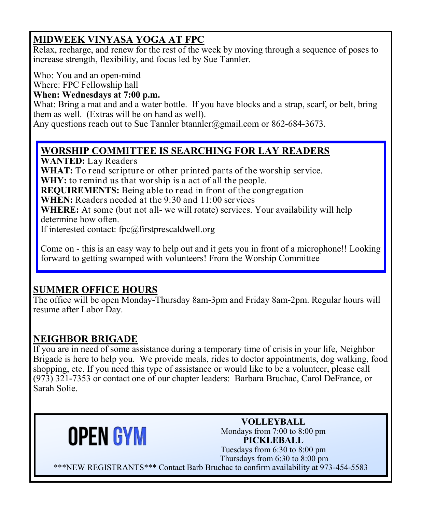# **MIDWEEK VINYASA YOGA AT FPC**

Relax, recharge, and renew for the rest of the week by moving through a sequence of poses to increase strength, flexibility, and focus led by Sue Tannler.

Who: You and an open-mind

Where: FPC Fellowship hall

#### **When: Wednesdays at 7:00 p.m.**

What: Bring a mat and and a water bottle. If you have blocks and a strap, scarf, or belt, bring them as well. (Extras will be on hand as well).

Any questions reach out to Sue Tannler btannler@gmail.com or  $862-684-3673$ .

### **WORSHIP COMMITTEE IS SEARCHING FOR LAY READERS**

**WANTED:** Lay Readers

**WHAT:** To read scripture or other printed parts of the worship service. WHY: to remind us that worship is a act of all the people.

**REQUIREMENTS:** Being able to read in front of the congregation

**WHEN:** Readers needed at the 9:30 and 11:00 services

**WHERE:** At some (but not all- we will rotate) services. Your availability will help determine how often.

If interested contact: fpc@firstprescaldwell.org

Come on - this is an easy way to help out and it gets you in front of a microphone!! Looking forward to getting swamped with volunteers! From the Worship Committee

#### **SUMMER OFFICE HOURS**

The office will be open Monday-Thursday 8am-3pm and Friday 8am-2pm. Regular hours will resume after Labor Day.

### **NEIGHBOR BRIGADE**

If you are in need of some assistance during a temporary time of crisis in your life, Neighbor Brigade is here to help you. We provide meals, rides to doctor appointments, dog walking, food shopping, etc. If you need this type of assistance or would like to be a volunteer, please call (973) 321-7353 or contact one of our chapter leaders: Barbara Bruchac, Carol DeFrance, or Sarah Solie.



**VOLLEYBALL** Mondays from 7:00 to 8:00 pm **PICKLEBALL** Tuesdays from 6:30 to 8:00 pm Thursdays from 6:30 to 8:00 pm \*\*\*NEW REGISTRANTS\*\*\* Contact Barb Bruchac to confirm availability at 973-454-5583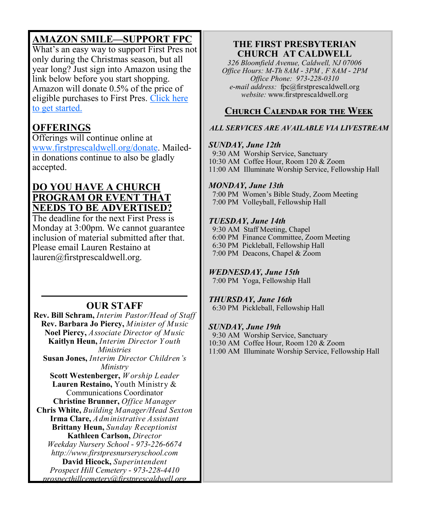# **AMAZON SMILE—SUPPORT FPC**

What's an easy way to support First Pres not only during the Christmas season, but all year long? Just sign into Amazon using the link below before you start shopping. Amazon will donate 0.5% of the price of eligible purchases to First Pres. [Click here](https://smile.amazon.com/gp/chpf/homepage/ref=smi_chpf_redirect?ie=UTF8&ein=22-1487189&ref_=smi_ext_ch_22-1487189_cl)  [to get started.](https://smile.amazon.com/gp/chpf/homepage/ref=smi_chpf_redirect?ie=UTF8&ein=22-1487189&ref_=smi_ext_ch_22-1487189_cl)

## **OFFERINGS**

Offerings will continue online at [www.firstprescaldwell.org/donate.](https://www.firstprescaldwell.org/donate/) Mailedin donations continue to also be gladly accepted.

#### **DO YOU HAVE A CHURCH PROGRAM OR EVENT THAT NEEDS TO BE ADVERTISED?**

The deadline for the next First Press is Monday at 3:00pm. We cannot guarantee inclusion of material submitted after that. Please email Lauren Restaino at lauren@firstprescaldwell.org.

#### **OUR STAFF**

**Rev. Bill Schram,** *Interim Pastor/Head of Staff* **Rev. Barbara Jo Piercy,** *Minister of Music*  **Noel Piercy,** *Associate Director of Music*  **Kaitlyn Heun,** *Interim Director Y outh Ministries*  **Susan Jones,** *Interim Director Children's Ministry*  **Scott Westenberger,** *W orship Leader*  **Lauren Restaino,** Youth Ministry & Communications Coordinator **Christine Brunner,** *Office Manager* **Chris White,** *Building Manager/Head Sexton* **Irma Clare,** *Administrative Assistant*  **Brittany Heun,** *Sunday Receptionist* **Kathleen Carlson,** *Director Weekday Nursery School - 973-226-6674 http://www.firstpresnurseryschool.com*  **David Hicock,** *Superintendent Prospect Hill Cemetery - 973-228-4410 prospecthillcemetery@firstprescaldwell.org* 

#### **THE FIRST PRESBYTERIAN CHURCH AT CALDWELL**

*326 Bloomfield Avenue, Caldwell, NJ 07006 Office Hours: M-Th 8AM - 3PM , F 8AM - 2PM Office Phone: 973-228-0310 e-mail address:* fpc@firstprescaldwell.org *website:* www.firstprescaldwell.org

#### **Church Calendar for the Week**

#### *ALL SERVICES ARE AVAILABLE VIA LIVESTREAM*

#### *SUNDAY, June 12th*

 9:30 AM Worship Service, Sanctuary 10:30 AM Coffee Hour, Room 120 & Zoom 11:00 AM Illuminate Worship Service, Fellowship Hall 

#### *MONDAY, June 13th*

 7:00 PM Women's Bible Study, Zoom Meeting 7:00 PM Volleyball, Fellowship Hall

#### *TUESDAY, June 14th*

 9:30 AM Staff Meeting, Chapel 6:00 PM Finance Committee, Zoom Meeting 6:30 PM Pickleball, Fellowship Hall 7:00 PM Deacons, Chapel & Zoom

#### *WEDNESDAY, June 15th*

7:00 PM Yoga, Fellowship Hall

#### *THURSDAY, June 16th*

6:30 PM Pickleball, Fellowship Hall

#### *SUNDAY, June 19th*

9:30 AM Worship Service, Sanctuary

10:30 AM Coffee Hour, Room 120 & Zoom

11:00 AM Illuminate Worship Service, Fellowship Hall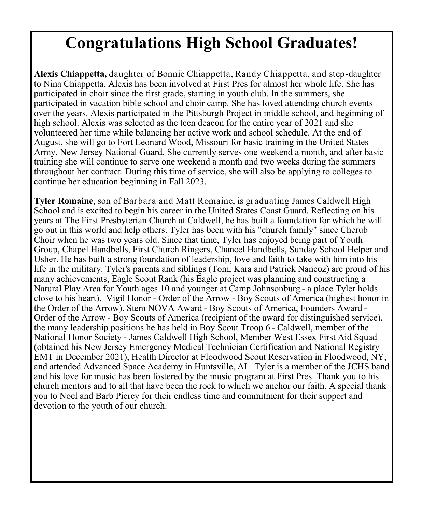# **Congratulations High School Graduates!**

**Alexis Chiappetta,** daughter of Bonnie Chiappetta, Randy Chiappetta, and step-daughter to Nina Chiappetta. Alexis has been involved at First Pres for almost her whole life. She has participated in choir since the first grade, starting in youth club. In the summers, she participated in vacation bible school and choir camp. She has loved attending church events over the years. Alexis participated in the Pittsburgh Project in middle school, and beginning of high school. Alexis was selected as the teen deacon for the entire year of 2021 and she volunteered her time while balancing her active work and school schedule. At the end of August, she will go to Fort Leonard Wood, Missouri for basic training in the United States Army, New Jersey National Guard. She currently serves one weekend a month, and after basic training she will continue to serve one weekend a month and two weeks during the summers throughout her contract. During this time of service, she will also be applying to colleges to continue her education beginning in Fall 2023.

**Tyler Romaine**, son of Barbara and Matt Romaine, is graduating James Caldwell High School and is excited to begin his career in the United States Coast Guard. Reflecting on his years at The First Presbyterian Church at Caldwell, he has built a foundation for which he will go out in this world and help others. Tyler has been with his "church family" since Cherub Choir when he was two years old. Since that time, Tyler has enjoyed being part of Youth Group, Chapel Handbells, First Church Ringers, Chancel Handbells, Sunday School Helper and Usher. He has built a strong foundation of leadership, love and faith to take with him into his life in the military. Tyler's parents and siblings (Tom, Kara and Patrick Nancoz) are proud of his many achievements, Eagle Scout Rank (his Eagle project was planning and constructing a Natural Play Area for Youth ages 10 and younger at Camp Johnsonburg - a place Tyler holds close to his heart), Vigil Honor - Order of the Arrow - Boy Scouts of America (highest honor in the Order of the Arrow), Stem NOVA Award - Boy Scouts of America, Founders Award - Order of the Arrow - Boy Scouts of America (recipient of the award for distinguished service), the many leadership positions he has held in Boy Scout Troop 6 - Caldwell, member of the National Honor Society - James Caldwell High School, Member West Essex First Aid Squad (obtained his New Jersey Emergency Medical Technician Certification and National Registry EMT in December 2021), Health Director at Floodwood Scout Reservation in Floodwood, NY, and attended Advanced Space Academy in Huntsville, AL. Tyler is a member of the JCHS band and his love for music has been fostered by the music program at First Pres. Thank you to his church mentors and to all that have been the rock to which we anchor our faith. A special thank you to Noel and Barb Piercy for their endless time and commitment for their support and devotion to the youth of our church.